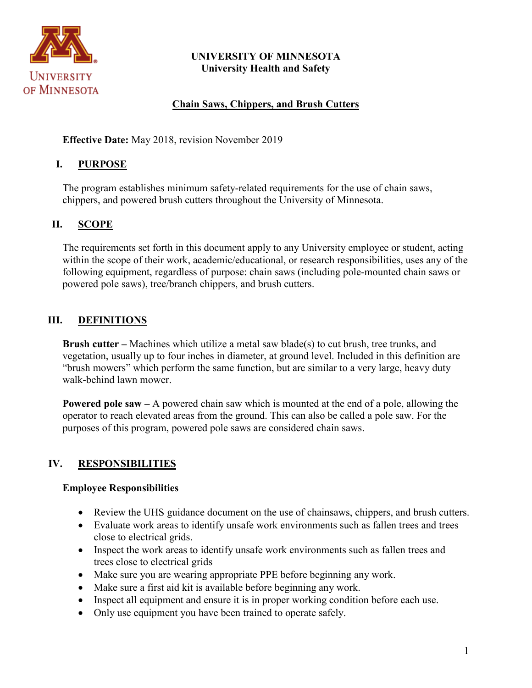

### **UNIVERSITY OF MINNESOTA University Health and Safety**

## **Chain Saws, Chippers, and Brush Cutters**

**Effective Date:** May 2018, revision November 2019

### **I. PURPOSE**

The program establishes minimum safety-related requirements for the use of chain saws, chippers, and powered brush cutters throughout the University of Minnesota.

#### **II. SCOPE**

The requirements set forth in this document apply to any University employee or student, acting within the scope of their work, academic/educational, or research responsibilities, uses any of the following equipment, regardless of purpose: chain saws (including pole-mounted chain saws or powered pole saws), tree/branch chippers, and brush cutters.

### **III. DEFINITIONS**

**Brush cutter –** Machines which utilize a metal saw blade(s) to cut brush, tree trunks, and vegetation, usually up to four inches in diameter, at ground level. Included in this definition are "brush mowers" which perform the same function, but are similar to a very large, heavy duty walk-behind lawn mower.

**Powered pole saw –** A powered chain saw which is mounted at the end of a pole, allowing the operator to reach elevated areas from the ground. This can also be called a pole saw. For the purposes of this program, powered pole saws are considered chain saws.

# **IV. RESPONSIBILITIES**

#### **Employee Responsibilities**

- Review the UHS guidance document on the use of chainsaws, chippers, and brush cutters.
- Evaluate work areas to identify unsafe work environments such as fallen trees and trees close to electrical grids.
- Inspect the work areas to identify unsafe work environments such as fallen trees and trees close to electrical grids
- Make sure you are wearing appropriate PPE before beginning any work.
- Make sure a first aid kit is available before beginning any work.
- Inspect all equipment and ensure it is in proper working condition before each use.
- Only use equipment you have been trained to operate safely.